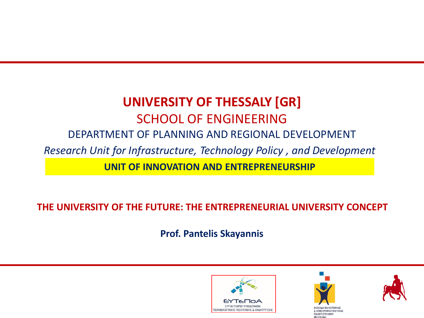# **UNIVERSITY OF THESSALY [GR]** SCHOOL OF ENGINEERING DEPARTMENT OF PLANNING AND REGIONAL DEVELOPMENT *Research Unit for Infrastructure, Technology Policy , and Development* **UNIT OF INNOVATION AND ENTREPRENEURSHIP**

**THE UNIVERSITY OF THE FUTURE: THE ENTREPRENEURIAL UNIVERSITY CONCEPT**

**Prof. Pantelis Skayannis**





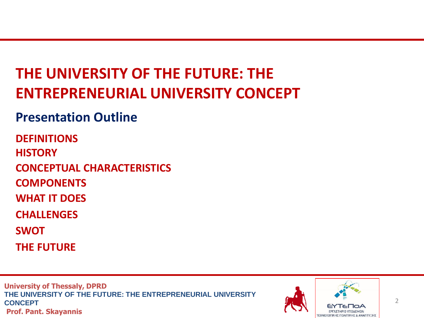# **THE UNIVERSITY OF THE FUTURE: THE ENTREPRENEURIAL UNIVERSITY CONCEPT**

# **Presentation Outline**

**DEFINITIONS HISTORY CONCEPTUAL CHARACTERISTICS COMPONENTS WHAT IT DOES CHALLENGES SWOT**

**THE FUTURE**

**University of Thessaly, DPRD THE UNIVERSITY OF THE FUTURE: THE ENTREPRENEURIAL UNIVERSITY CONCEPT Prof. Pant. Skayannis** 



 $\mathfrak{D}$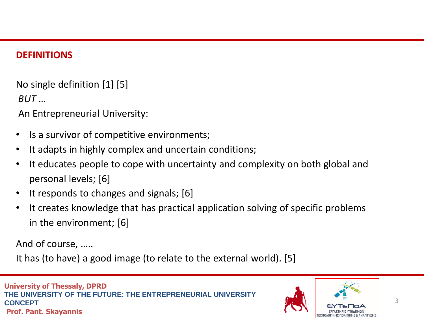#### **DEFINITIONS**

No single definition [1] [5]

*BUT* …

An Entrepreneurial University:

- Is a survivor of competitive environments;
- It adapts in highly complex and uncertain conditions;
- It educates people to cope with uncertainty and complexity on both global and personal levels; [6]
- It responds to changes and signals; [6]
- It creates knowledge that has practical application solving of specific problems in the environment; [6]

And of course, …..

It has (to have) a good image (to relate to the external world). [5]

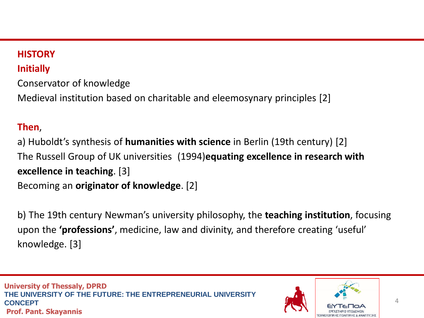# **HISTORY**

# **Initially**

Conservator of knowledge Medieval institution based on charitable and eleemosynary principles [2]

# **Then**,

a) Huboldt's synthesis of **humanities with science** in Berlin (19th century) [2] The Russell Group of UK universities (1994)**equating excellence in research with excellence in teaching**. [3] Becoming an **originator of knowledge**. [2]

b) The 19th century Newman's university philosophy, the **teaching institution**, focusing upon the **'professions'**, medicine, law and divinity, and therefore creating 'useful' knowledge. [3]

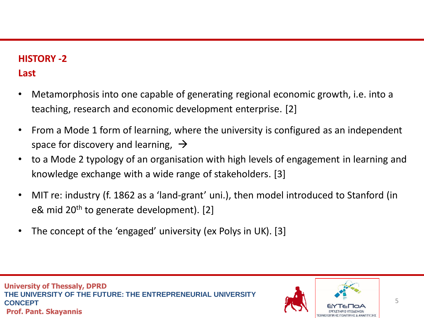## **HISTORY -2**

## **Last**

- Metamorphosis into one capable of generating regional economic growth, i.e. into a teaching, research and economic development enterprise. [2]
- From a Mode 1 form of learning, where the university is configured as an independent space for discovery and learning,  $\rightarrow$
- to a Mode 2 typology of an organisation with high levels of engagement in learning and knowledge exchange with a wide range of stakeholders. [3]
- MIT re: industry (f. 1862 as a 'land-grant' uni.), then model introduced to Stanford (in e& mid 20<sup>th</sup> to generate development). [2]
- The concept of the 'engaged' university (ex Polys in UK). [3]

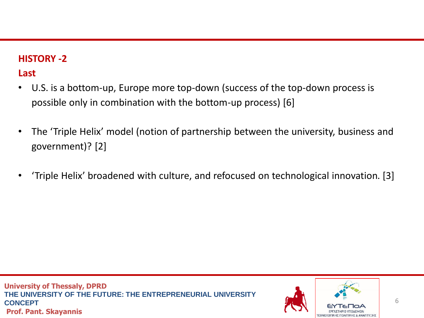#### **HISTORY -2**

## **Last**

- U.S. is a bottom-up, Europe more top-down (success of the top-down process is possible only in combination with the bottom-up process) [6]
- The 'Triple Helix' model (notion of partnership between the university, business and government)? [2]
- 'Triple Helix' broadened with culture, and refocused on technological innovation. [3]

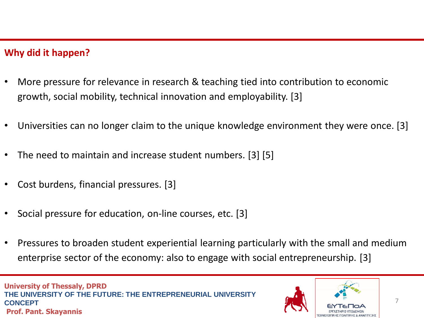#### **Why did it happen?**

- More pressure for relevance in research & teaching tied into contribution to economic growth, social mobility, technical innovation and employability. [3]
- Universities can no longer claim to the unique knowledge environment they were once. [3]
- The need to maintain and increase student numbers. [3] [5]
- Cost burdens, financial pressures. [3]
- Social pressure for education, on-line courses, etc. [3]
- Pressures to broaden student experiential learning particularly with the small and medium enterprise sector of the economy: also to engage with social entrepreneurship. [3]

**University of Thessaly, DPRD THE UNIVERSITY OF THE FUTURE: THE ENTREPRENEURIAL UNIVERSITY CONCEPT Prof. Pant. Skayannis** 

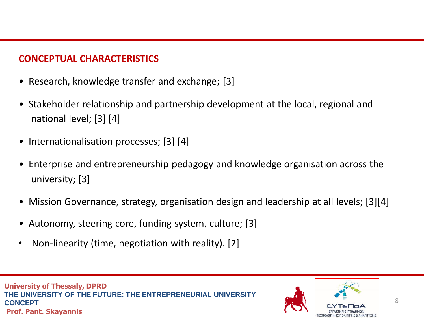#### **CONCEPTUAL CHARACTERISTICS**

- Research, knowledge transfer and exchange; [3]
- Stakeholder relationship and partnership development at the local, regional and national level; [3] [4]
- Internationalisation processes; [3] [4]
- Enterprise and entrepreneurship pedagogy and knowledge organisation across the university; [3]
- Mission Governance, strategy, organisation design and leadership at all levels; [3][4]
- Autonomy, steering core, funding system, culture; [3]
- Non-linearity (time, negotiation with reality). [2]

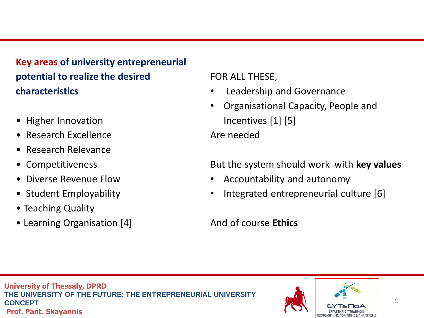**Key areas of university entrepreneurial potential to realize the desired characteristics**

- Higher Innovation
- Research Excellence
- Research Relevance
- Competitiveness
- Diverse Revenue Flow
- Student Employability
- Teaching Quality
- Learning Organisation [4]

FOR ALL THESE,

- Leadership and Governance
- Organisational Capacity, People and Incentives [1] [5] Are needed

But the system should work with **key values**

- Accountability and autonomy
- Integrated entrepreneurial culture [6]

## And of course **Ethics**

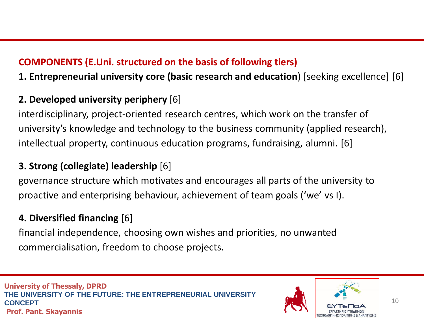## **COMPONENTS (E.Uni. structured on the basis of following tiers)**

**1. Entrepreneurial university core (basic research and education**) [seeking excellence] [6]

# **2. Developed university periphery** [6]

interdisciplinary, project-oriented research centres, which work on the transfer of university's knowledge and technology to the business community (applied research), intellectual property, continuous education programs, fundraising, alumni. [6]

## **3. Strong (collegiate) leadership** [6]

governance structure which motivates and encourages all parts of the university to proactive and enterprising behaviour, achievement of team goals ('we' vs I).

# **4. Diversified financing** [6]

financial independence, choosing own wishes and priorities, no unwanted commercialisation, freedom to choose projects.

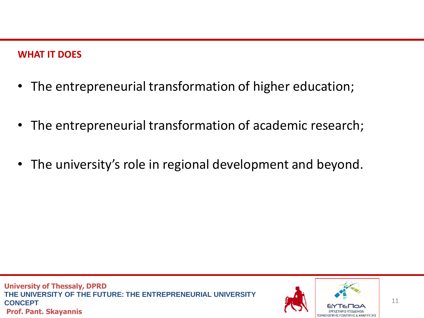#### **WHAT IT DOES**

- The entrepreneurial transformation of higher education;
- The entrepreneurial transformation of academic research;
- The university's role in regional development and beyond.

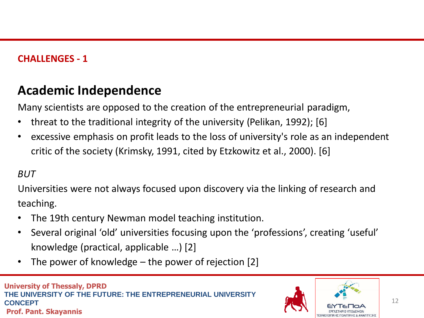#### **CHALLENGES - 1**

# **Academic Independence**

Many scientists are opposed to the creation of the entrepreneurial paradigm,

- threat to the traditional integrity of the university (Pelikan, 1992); [6]
- excessive emphasis on profit leads to the loss of university's role as an independent critic of the society (Krimsky, 1991, cited by Etzkowitz et al., 2000). [6]

#### *BUT*

Universities were not always focused upon discovery via the linking of research and teaching.

- The 19th century Newman model teaching institution.
- Several original 'old' universities focusing upon the 'professions', creating 'useful' knowledge (practical, applicable …) [2]
- The power of knowledge  $-$  the power of rejection [2]

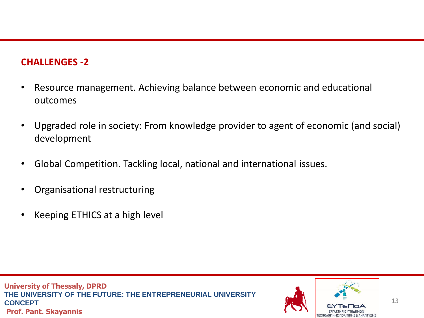#### **CHALLENGES -2**

- Resource management. Achieving balance between economic and educational outcomes
- Upgraded role in society: From knowledge provider to agent of economic (and social) development
- Global Competition. Tackling local, national and international issues.
- Organisational restructuring
- Keeping ETHICS at a high level

**University of Thessaly, DPRD THE UNIVERSITY OF THE FUTURE: THE ENTREPRENEURIAL UNIVERSITY CONCEPT Prof. Pant. Skayannis** 

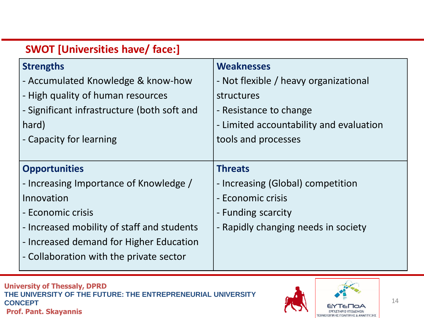| <b>SWOT [Universities have/ face:]</b>      |                                         |
|---------------------------------------------|-----------------------------------------|
| <b>Strengths</b>                            | <b>Weaknesses</b>                       |
| - Accumulated Knowledge & know-how          | - Not flexible / heavy organizational   |
| - High quality of human resources           | structures                              |
| - Significant infrastructure (both soft and | - Resistance to change                  |
| hard)                                       | - Limited accountability and evaluation |
| - Capacity for learning                     | tools and processes                     |
|                                             |                                         |
| <b>Opportunities</b>                        | <b>Threats</b>                          |
| - Increasing Importance of Knowledge /      | - Increasing (Global) competition       |
| Innovation                                  | - Economic crisis                       |
| - Economic crisis                           | - Funding scarcity                      |
| - Increased mobility of staff and students  | - Rapidly changing needs in society     |
| - Increased demand for Higher Education     |                                         |
| - Collaboration with the private sector     |                                         |
|                                             |                                         |

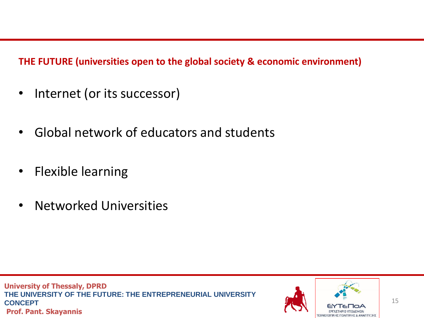**THE FUTURE (universities open to the global society & economic environment)**

- Internet (or its successor)
- Global network of educators and students
- Flexible learning
- Networked Universities

**University of Thessaly, DPRD THE UNIVERSITY OF THE FUTURE: THE ENTREPRENEURIAL UNIVERSITY CONCEPT Prof. Pant. Skayannis** 

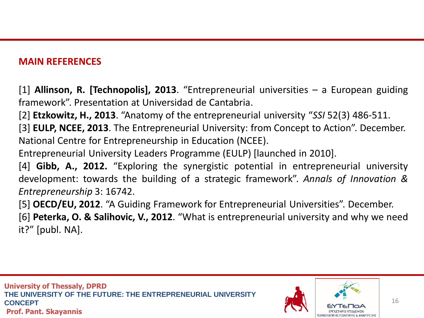#### **MAIN REFERENCES**

[1] **Allinson, R. [Technopolis], 2013**. "Entrepreneurial universities – a European guiding framework". Presentation at Universidad de Cantabria.

[2] **Etzkowitz, H., 2013**. "Anatomy of the entrepreneurial university "*SSI* 52(3) 486-511.

[3] **EULP, NCEE, 2013**. The Entrepreneurial University: from Concept to Action". December. National Centre for Entrepreneurship in Education (NCEE).

Entrepreneurial University Leaders Programme (EULP) [launched in 2010].

[4] **Gibb, A., 2012.** "Exploring the synergistic potential in entrepreneurial university development: towards the building of a strategic framework". *Annals of Innovation & Entrepreneurship* 3: 16742.

[5] **OECD/EU, 2012**. "A Guiding Framework for Entrepreneurial Universities". December. [6] **Peterka, O. & Salihovic, V., 2012**. "What is entrepreneurial university and why we need it?" [publ. NA].